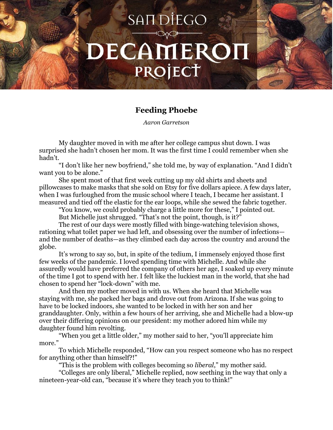## SAIT DIEGO DECAMEROI PROJECT

## **Feeding Phoebe**

*Aaron Garretson*

My daughter moved in with me after her college campus shut down. I was surprised she hadn't chosen her mom. It was the first time I could remember when she hadn't.

"I don't like her new boyfriend," she told me, by way of explanation. "And I didn't want you to be alone."

She spent most of that first week cutting up my old shirts and sheets and pillowcases to make masks that she sold on Etsy for five dollars apiece. A few days later, when I was furloughed from the music school where I teach, I became her assistant. I measured and tied off the elastic for the ear loops, while she sewed the fabric together.

"You know, we could probably charge a little more for these," I pointed out.

But Michelle just shrugged. "That's not the point, though, is it?"

The rest of our days were mostly filled with binge-watching television shows, rationing what toilet paper we had left, and obsessing over the number of infections and the number of deaths—as they climbed each day across the country and around the globe.

It's wrong to say so, but, in spite of the tedium, I immensely enjoyed those first few weeks of the pandemic. I loved spending time with Michelle. And while she assuredly would have preferred the company of others her age, I soaked up every minute of the time I got to spend with her. I felt like the luckiest man in the world, that she had chosen to spend her "lock-down" with me.

And then my mother moved in with us. When she heard that Michelle was staying with me, she packed her bags and drove out from Arizona. If she was going to have to be locked indoors, she wanted to be locked in with her son and her granddaughter. Only, within a few hours of her arriving, she and Michelle had a blow-up over their differing opinions on our president: my mother adored him while my daughter found him revolting.

"When you get a little older," my mother said to her, "you'll appreciate him more."

To which Michelle responded, "How can you respect someone who has no respect for anything other than himself?!"

"This is the problem with colleges becoming so *liberal*," my mother said.

"Colleges are only liberal," Michelle replied, now seething in the way that only a nineteen-year-old can, "because it's where they teach you to think!"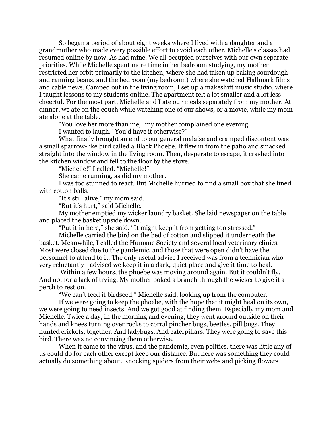So began a period of about eight weeks where I lived with a daughter and a grandmother who made every possible effort to avoid each other. Michelle's classes had resumed online by now. As had mine. We all occupied ourselves with our own separate priorities. While Michelle spent more time in her bedroom studying, my mother restricted her orbit primarily to the kitchen, where she had taken up baking sourdough and canning beans, and the bedroom (my bedroom) where she watched Hallmark films and cable news. Camped out in the living room, I set up a makeshift music studio, where I taught lessons to my students online. The apartment felt a lot smaller and a lot less cheerful. For the most part, Michelle and I ate our meals separately from my mother. At dinner, we ate on the couch while watching one of our shows, or a movie, while my mom ate alone at the table.

"You love her more than me," my mother complained one evening.

I wanted to laugh. "You'd have it otherwise?"

What finally brought an end to our general malaise and cramped discontent was a small sparrow-like bird called a Black Phoebe. It flew in from the patio and smacked straight into the window in the living room. Then, desperate to escape, it crashed into the kitchen window and fell to the floor by the stove.

"Michelle!" I called. "Michelle!"

She came running, as did my mother.

I was too stunned to react. But Michelle hurried to find a small box that she lined with cotton balls.

"It's still alive," my mom said.

"But it's hurt," said Michelle.

My mother emptied my wicker laundry basket. She laid newspaper on the table and placed the basket upside down.

"Put it in here," she said. "It might keep it from getting too stressed."

Michelle carried the bird on the bed of cotton and slipped it underneath the basket. Meanwhile, I called the Humane Society and several local veterinary clinics. Most were closed due to the pandemic, and those that were open didn't have the personnel to attend to it. The only useful advice I received was from a technician who very reluctantly—advised we keep it in a dark, quiet place and give it time to heal.

Within a few hours, the phoebe was moving around again. But it couldn't fly. And not for a lack of trying. My mother poked a branch through the wicker to give it a perch to rest on.

"We can't feed it birdseed," Michelle said, looking up from the computer.

If we were going to keep the phoebe, with the hope that it might heal on its own, we were going to need insects. And we got good at finding them. Especially my mom and Michelle. Twice a day, in the morning and evening, they went around outside on their hands and knees turning over rocks to corral pincher bugs, beetles, pill bugs. They hunted crickets, together. And ladybugs. And caterpillars. They were going to save this bird. There was no convincing them otherwise.

When it came to the virus, and the pandemic, even politics, there was little any of us could do for each other except keep our distance. But here was something they could actually do something about. Knocking spiders from their webs and picking flowers